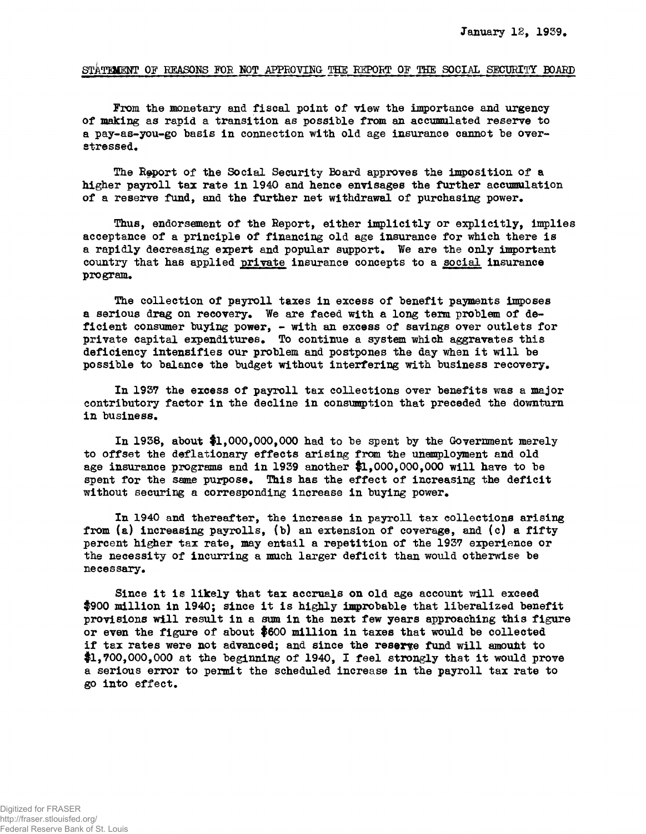## STATIMENT OF REASONS FOR NOT APPROVING THE REPORT OF THE SOCIAL SECURITY BOARD

From the monetary and fiscal point of view the importance and urgency of making as rapid a transition as possible from an accumulated reserve to a pay-as-you-go basis in connection with old age insurance cannot be overstressed.

The Report of the Social Security Board approves the imposition of a higher payroll tax rate in 1940 and hence envisages the further accumulation of a reserve fund, and the further net withdrawal of purchasing power.

Thus, endorsement of the Report, either implicitly or explicitly, implies acceptance of a principle of financing old age insurance for which there is a rapidly decreasing expert and popular support. We are the only important country that has applied private insurance concepts to a social insurance program.

The collection of payroll taxes in excess of benefit payments imposes a serious drag on recovery. We are faced with a long term problem of deficient consumer buying power, - with an excess of savings over outlets for private capital expenditures. To continue a system which aggravates this deficiency intensifies our problem and postpones the day when it will be possible to balance the budget without interfering with business recovery.

In 1937 the excess of payroll tax collections over benefits was a major contributory factor in the decline in consumption that preceded the downturn in business.

In 1928, about \$1,000,000,000 had to be spent by the Government merely to offset the deflationary effects arising from the unemployment and old age insurance programs and in 19S9 another \$1,000,000,000 will have to be spent for the same purpose. This has the effect of increasing the deficit without securing a corresponding increase in buying power.

In 1940 and thereafter, the increase in payroll tax collections arising from (a) increasing payrolls, (b) an extension of coverage, and (c) a fifty percent higher tax rate, may entail a repetition of the 1957 experience or the necessity of incurring a much larger deficit than would otherwise be necessary.

Since it is likely that tax accruals on old age account will exceed \$900 million in 1940; since it is highly improbable that liberalized benefit provisions will result in a sum in the next few years approaching this figure or even the figure of about \$600 million in taxes that would be collected if tax rates were not advanced; and since the reserve fund will amount to \$1,700,000,000 at the beginning of 1940, I feel strongly that it would prove a serious error to permit the scheduled increase in the payroll tax rate to go into effect.